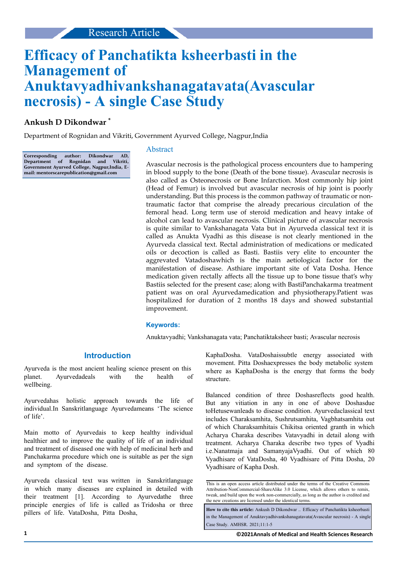# **Efficacy of Panchatikta ksheerbasti in the Management of Anuktavyadhivankshanagatavata(Avascular necrosis) - A single Case Study**

## **Ankush D Dikondwar \***

Department of Rognidan and Vikriti, Government Ayurved College, Nagpur,India

**Corresponding author: Dikondwar AD, Department of Rognidan and Vikriti, Government Ayurved College, Nagpur,India, Email: mentorscarepublication@gmail.com**

#### Abstract

Avascular necrosis is the pathological process encounters due to hampering in blood supply to the bone (Death of the bone tissue). Avascular necrosis is also called as Osteonecrosis or Bone Infarction. Most commonly hip joint (Head of Femur) is involved but avascular necrosis of hip joint is poorly understanding. But this process is the common pathway of traumatic or nontraumatic factor that comprise the already precarious circulation of the femoral head. Long term use of steroid medication and heavy intake of alcohol can lead to avascular necrosis. Clinical picture of avascular necrosis is quite similar to Vankshanagata Vata but in Ayurveda classical text it is called as Anukta Vyadhi as this disease is not clearly mentioned in the Ayurveda classical text. Rectal administration of medications or medicated oils or decoction is called as Basti. Bastiis very elite to encounter the aggrevated Vatadoshawhich is the main aetiological factor for the manifestation of disease. Asthiare important site of Vata Dosha. Hence medication given rectally affects all the tissue up to bone tissue that's why Bastiis selected for the present case; along with BastiPanchakarma treatment patient was on oral Ayurvedamedication and physiotherapy.Patient was hospitalized for duration of 2 months 18 days and showed substantial improvement.

#### **Keywords:**

Anuktavyadhi; Vankshanagata vata; Panchatiktaksheer basti; Avascular necrosis

## **Introduction**

Ayurveda is the most ancient healing science present on this planet. Ayurvedadeals with the health of wellbeing.

Ayurvedahas holistic approach towards the life of individual.In Sanskritlanguage Ayurvedameans 'The science of life'.

Main motto of Ayurvedais to keep healthy individual healthier and to improve the quality of life of an individual and treatment of diseased one with help of medicinal herb and Panchakarma procedure which one is suitable as per the sign and symptom of the disease.

Ayurveda classical text was written in Sanskritlanguage in which many diseases are explained in detailed with their treatment [1]. According to Ayurvedathe three principle energies of life is called as Tridosha or three pillers of life. VataDosha, Pitta Dosha,

KaphaDosha. VataDoshaissubtle energy associated with movement. Pitta Doshaexpresses the body metabolic system where as KaphaDosha is the energy that forms the body structure.

Balanced condition of three Doshasreflects good health. But any vitiation in any in one of above Doshasdue toHetusewanleads to disease condition. Ayurvedaclassical text includes Charaksamhita, Sushrutsamhita, Vagbhatsamhita out of which Charaksamhitais Chikitsa oriented granth in which Acharya Charaka describes Vatavyadhi in detail along with treatment. Acharya Charaka describe two types of Vyadhi i.e.Nanatmaja and SamanyajaVyadhi. Out of which 80 Vyadhisare of VataDosha, 40 Vyadhisare of Pitta Dosha, 20 Vyadhisare of Kapha Dosh.

**How to cite this article:** Ankush D Dikondwar .. Efficacy of Panchatikta ksheerbasti in the Management of Anuktavyadhivankshanagatavata(Avascular necrosis) - A single Case Study. AMHSR. 2021;11:1-5

This is an open access article distributed under the terms of the Creative Commons Attribution-NonCommercial-ShareAlike 3.0 License, which allows others to remix, tweak, and build upon the work non‑commercially, as long as the author is credited and the new creations are licensed under the identical terms.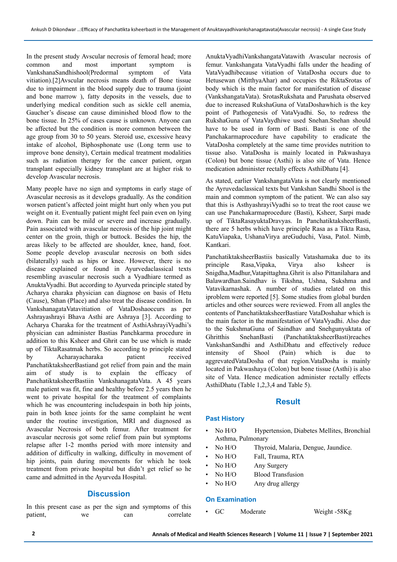In the present study Avscular necrosis of femoral head; more common and most important symptom is VankshanaSandhishool(Predormal symptom of Vata vitiation).[2]Avscular necrosis means death of Bone tissue due to impairment in the blood supply due to trauma (joint and bone marrow ), fatty deposits in the vessels, due to underlying medical condition such as sickle cell anemia, Gaucher's disease can cause diminished blood flow to the bone tissue. In 25% of cases cause is unknown. Anyone can be affected but the condition is more common between the age group from 30 to 50 years. Steroid use, excessive heavy intake of alcohol, Biphosphonate use (Long term use to improve bone density), Certain medical treatment modalities such as radiation therapy for the cancer patient, organ transplant especially kidney transplant are at higher risk to develop Avascular necrosis.

Many people have no sign and symptoms in early stage of Avascular necrosis as it develops gradually. As the condition worsen patient's affected joint might hurt only when you put weight on it. Eventually patient might feel pain even on lying down. Pain can be mild or severe and increase gradually. Pain associated with avascular necrosis of the hip joint might center on the groin, thigh or buttock. Besides the hip, the areas likely to be affected are shoulder, knee, hand, foot. Some people develop avascular necrosis on both sides (bilaterally) such as hips or knee. However, there is no disease explained or found in Ayurvedaclassical texts resembling avascular necrosis such a Vyadhiare termed as AnuktaVyadhi. But according to Ayurveda principle stated by Acharya charaka physician can diagnose on basis of Hetu (Cause), Sthan (Place) and also treat the disease condition. In VankshanagataVatavitiation of VataDoshaoccurs as per Ashrayashrayi Bhava Asthi are Ashraya [3]. According to Acharya Charaka for the treatment of AsthiAshrayiVyadhi's physician can administer Bastias Panchkarma procedure in addition to this Ksheer and Ghrit can be use which is made up of TiktaRasatmak herbs. So according to principle stated by Acharayacharaka patient received PanchatiktaksheerBastiand got relief from pain and the main aim of study is to explain the efficacy of PanchatiktaksheerBastiin VankshanagataVata. A 45 years male patient was fit, fine and healthy before 2.5 years then he went to private hospital for the treatment of complaints which he was encountering includespain in both hip joints, pain in both knee joints for the same complaint he went under the routine investigation, MRI and diagnosed as Avascular Necrosis of both femur. After treatment for avascular necrosis got some relief from pain but symptoms relapse after 1-2 months period with more intensity and addition of difficulty in walking, difficulty in movement of hip joints, pain during movements for which he took treatment from private hospital but didn't get relief so he came and admitted in the Ayurveda Hospital.

## **Discussion**

In this present case as per the sign and symptoms of this patient, we can correlate AnuktaVyadhiVankshangataVatawith Avascular necrosis of femur. Vankshangata VataVyadhi falls under the heading of VataVyadhibecause vitiation of VataDosha occurs due to Hetusewan (MitthyaAhar) and occupies the RiktaSrotas of body which is the main factor for manifestation of disease (VankshangataVata). SrotasRukshata and Parushata observed due to increased RukshaGuna of VataDoshawhich is the key point of Pathogenesis of VataVyadhi. So, to redress the RukshaGuna of VataVaydhiwe used Snehan.Snehan should have to be used in form of Basti. Basti is one of the Panchakarmaprocedure have capability to eradicate the VataDosha completely at the same time provides nutrition to tissue also. VataDosha is mainly located in Pakwashaya (Colon) but bone tissue (Asthi) is also site of Vata. Hence medication administer rectally effects AsthiDhatu [4].

As stated, earlier VankshangataVata is not clearly mentioned the Ayruvedaclassical texts but Vankshan Sandhi Shool is the main and common symptom of the patient. We can also say that this is AsthyashrayiVyadhi so to treat the root cause we can use Panchakarmaprocedure (Basti), Ksheer, Sarpi made up of TiktaRasayuktaDravyas. In PanchatiktaksheerBasti, there are 5 herbs which have principle Rasa as a Tikta Rasa, KatuViapaka, UshanaVirya areGuduchi, Vasa, Patol. Nimb, Kantkari.

PanchatiktaksheerBastiis basically Vatashamaka due to its principle Rasa,Vipaka, Virya also ksheer is Snigdha,Madhur,Vatapittaghna.Ghrit is also Pittanilahara and Balawardhan.Saindhav is Tikshna, Ushna, Sukshma and Vatavikarnashak. A number of studies related on this iproblem were reported [5]. Some studies from global burden articles and other sources were reviewed. From all angles the contents of PanchatiktaksheerBastiare VataDoshahar which is the main factor in the manifestation of VataVyadhi. Also due to the SukshmaGuna of Saindhav and Snehgunyuktata of Ghritthis SnehanBasti (PanchatiktaksheerBasti)reaches VankshanSandhi and AsthiDhatu and effectively reduce intensity of Shool (Pain) which is due to aggrevatedVataDosha of that region.VataDosha is mainly located in Pakwashaya (Colon) but bone tissue (Asthi) is also site of Vata. Hence medication administer rectally effects AsthiDhatu (Table 1,2,3,4 and Table 5).

#### **Result**

#### **Past History**

- No H/O Hypertension, Diabetes Mellites, Bronchial Asthma, Pulmonary
- No H/O Thyroid, Malaria, Dengue, Jaundice.
- No H/O Fall, Trauma, RTA
- No H/O Any Surgery
- No H/O Blood Transfusion
- No H/O Any drug allergy

#### **On Examination**

GC Moderate Weight -58Kg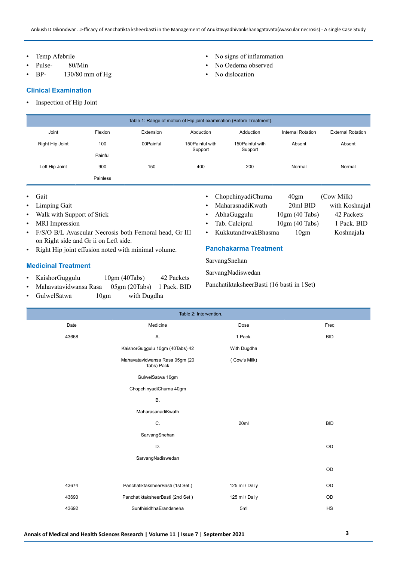- Temp Afebrile
- Pulse- 80/Min
- BP- 130/80 mm of Hg

#### **Clinical Examination**

- Inspection of Hip Joint
- Table 1: Range of motion of Hip joint examination (Before Treatment). Joint Flexion Extension Abduction Adduction Internal Rotation External Rotation Right Hip Joint 100 100 00Painful 150Painful with Support 150Painful with Support Absent Absent Painful Left Hip Joint 900 150 400 200 Normal Normal Painless
- Gait
- Limping Gait
- Walk with Support of Stick
- **MRI** Impression
- F/S/O B/L Avascular Necrosis both Femoral head, Gr III on Right side and Gr ii on Left side.
- Right Hip joint effusion noted with minimal volume.

## **Medicinal Treatment**

- KaishorGuggulu 10gm (40Tabs) 42 Packets
- Mahavatavidwansa Rasa 05gm (20Tabs) 1 Pack. BID
- GulwelSatwa 10gm with Dugdha
- No signs of inflammation
- No Oedema observed
- No dislocation

- ChopchinyadiChurna 40gm (Cow Milk)
- MaharasnadiKwath 20ml BID with Koshnajal
- AbhaGuggulu 10gm (40 Tabs) 42 Packets
- Tab. Calcipral 10gm (40 Tabs) 1 Pack. BID
	- KukkutandtwakBhasma 10gm Koshnajala
- **Panchakarma Treatment**

SarvangSnehan

SarvangNadiswedan

PanchatiktaksheerBasti (16 basti in 1Set)

| Table 2: Intervention. |                                                              |                |            |  |  |  |
|------------------------|--------------------------------------------------------------|----------------|------------|--|--|--|
| Date                   | Medicine<br>Dose                                             |                | Freq       |  |  |  |
| 43668                  | Α.                                                           | 1 Pack.        | <b>BID</b> |  |  |  |
|                        | KaishorGuggulu 10gm (40Tabs) 42<br>With Dugdha               |                |            |  |  |  |
|                        | Mahavatavidwansa Rasa 05gm (20<br>(Cow's Milk)<br>Tabs) Pack |                |            |  |  |  |
|                        |                                                              |                |            |  |  |  |
|                        | ChopchinyadiChurna 40gm                                      |                |            |  |  |  |
|                        | В.                                                           |                |            |  |  |  |
|                        | MaharasanadiKwath                                            |                |            |  |  |  |
|                        | C.<br>20ml                                                   |                | <b>BID</b> |  |  |  |
|                        | SarvangSnehan                                                |                |            |  |  |  |
|                        | D.                                                           |                | OD         |  |  |  |
|                        | SarvangNadiswedan                                            |                |            |  |  |  |
|                        |                                                              |                | OD         |  |  |  |
| 43674                  | PanchatiktaksheerBasti (1st Set.)                            | 125 ml / Daily | OD         |  |  |  |
| 43690                  | PanchatiktaksheerBasti (2nd Set)                             | 125 ml / Daily | OD         |  |  |  |
| 43692                  | SunthisidhhaErandsneha                                       | 5ml            | HS         |  |  |  |
|                        |                                                              |                |            |  |  |  |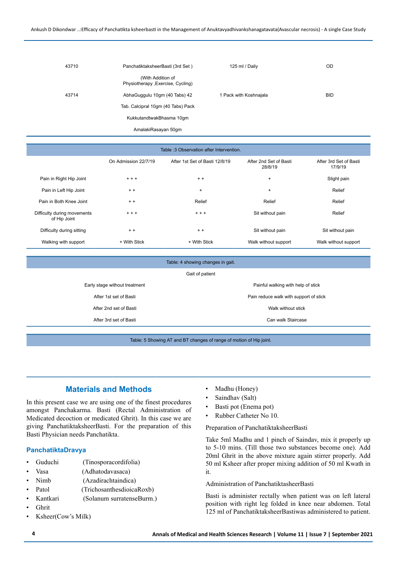| 43710 | PanchatiktaksheerBasti (3rd Set)                        | 125 ml / Daily         | OD         |
|-------|---------------------------------------------------------|------------------------|------------|
|       | (With Addition of<br>Physiotherapy , Exercise, Cycling) |                        |            |
| 43714 | AbhaGuggulu 10gm (40 Tabs) 42                           | 1 Pack with Koshnajala | <b>BID</b> |
|       | Tab. Calcipral 10gm (40 Tabs) Pack                      |                        |            |
|       | KukkutandtwakBhasma 10qm                                |                        |            |
|       | AmalakiRasayan 50gm                                     |                        |            |

| Table : 3 Observation after Intervention.   |                      |                                |                                   |                                   |
|---------------------------------------------|----------------------|--------------------------------|-----------------------------------|-----------------------------------|
|                                             | On Admission 22/7/19 | After 1st Set of Basti 12/8/19 | After 2nd Set of Basti<br>28/8/19 | After 3rd Set of Basti<br>17/9/19 |
| Pain in Right Hip Joint                     | $+ + +$              | $+ +$                          | $\ddot{}$                         | Slight pain                       |
| Pain in Left Hip Joint                      | $+ +$                | $+$                            | $\ddot{}$                         | Relief                            |
| Pain in Both Knee Joint                     | $+ +$                | Relief                         | Relief                            | Relief                            |
| Difficulty during movements<br>of Hip Joint | $+ + +$              | $+ + +$                        | Sit without pain                  | Relief                            |
| Difficulty during sitting                   | $+ +$                | $+ +$                          | Sit without pain                  | Sit without pain                  |
| Walking with support                        | + With Stick         | + With Stick                   | Walk without support              | Walk without support              |

| Table: 4 showing changes in gait. |                                        |  |  |  |
|-----------------------------------|----------------------------------------|--|--|--|
| Gait of patient                   |                                        |  |  |  |
| Early stage without treatment     | Painful walking with help of stick     |  |  |  |
| After 1st set of Basti            | Pain reduce walk with support of stick |  |  |  |
| After 2nd set of Basti            | Walk without stick                     |  |  |  |
| After 3rd set of Basti            | Can walk Staircase                     |  |  |  |
|                                   |                                        |  |  |  |

Table: 5 Showing AT and BT changes of range of motion of Hip joint.

## **Materials and Methods**

In this present case we are using one of the finest procedures amongst Panchakarma. Basti (Rectal Administration of Medicated decoction or medicated Ghrit). In this case we are giving PanchatiktaksheerBasti. For the preparation of this Basti Physician needs Panchatikta.

#### **PanchatiktaDravya**

- Guduchi (Tinosporacordifolia)
- Vasa (Adhatodavasaca)
- Nimb (Azadirachtaindica)
- Patol (TrichosanthesdioicaRoxb)
- Kantkari (Solanum surratenseBurm.)
- Ghrit
- Ksheer(Cow's Milk)
- Madhu (Honey)
- Saindhav (Salt)
- Basti pot (Enema pot)
- Rubber Catheter No 10.

Preparation of PanchatiktaksheerBasti

Take 5ml Madhu and 1 pinch of Saindav, mix it properly up to 5-10 mins. (Till those two substances become one). Add 20ml Ghrit in the above mixture again stirrer properly. Add 50 ml Ksheer after proper mixing addition of 50 ml Kwath in it.

Administration of PanchatiktasheerBasti

Basti is administer rectally when patient was on left lateral position with right leg folded in knee near abdomen. Total 125 ml of PanchatiktaksheerBastiwas administered to patient.